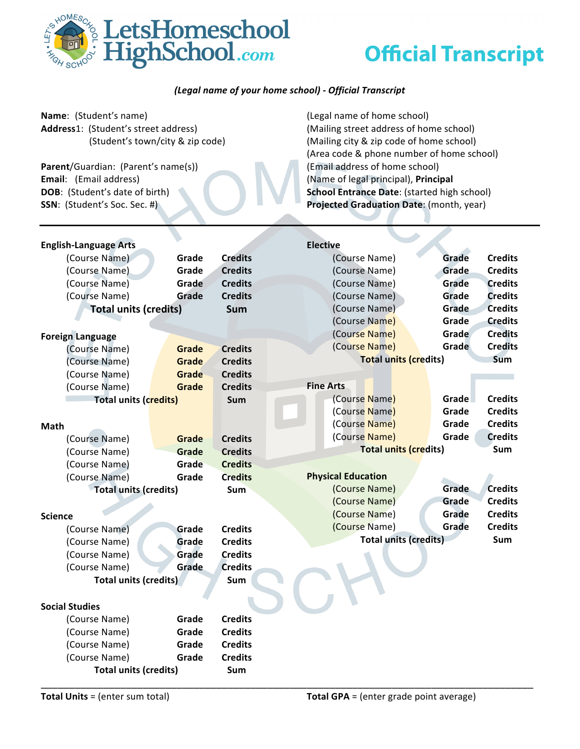

## *(Legal name of your home school) - Official Transcript*

| Name: (Student's name)               |              |                | (Legal name of home school)                 |  |  |  |  |
|--------------------------------------|--------------|----------------|---------------------------------------------|--|--|--|--|
| Address1: (Student's street address) |              |                | (Mailing street address of home school)     |  |  |  |  |
| (Student's town/city & zip code)     |              |                | (Mailing city & zip code of home school)    |  |  |  |  |
|                                      |              |                | (Area code & phone number of home school)   |  |  |  |  |
| Parent/Guardian: (Parent's name(s))  |              |                | (Email address of home school)              |  |  |  |  |
| Email: (Email address)               |              |                | (Name of legal principal), Principal        |  |  |  |  |
| DOB: (Student's date of birth)       |              |                | School Entrance Date: (started high school) |  |  |  |  |
| SSN: (Student's Soc. Sec. #)         |              |                | Projected Graduation Date: (month, year)    |  |  |  |  |
|                                      |              |                |                                             |  |  |  |  |
|                                      |              |                |                                             |  |  |  |  |
| <b>English-Language Arts</b>         |              |                | <b>Elective</b>                             |  |  |  |  |
| (Course Name)                        | Grade        | <b>Credits</b> | <b>Credits</b><br>(Course Name)<br>Grade    |  |  |  |  |
| (Course Name)                        | Grade        | <b>Credits</b> | Grade<br><b>Credits</b><br>(Course Name)    |  |  |  |  |
| (Course Name)                        | Grade        | <b>Credits</b> | <b>Credits</b><br>(Course Name)<br>Grade    |  |  |  |  |
| (Course Name)                        | Grade        | <b>Credits</b> | <b>Credits</b><br>(Course Name)<br>Grade    |  |  |  |  |
| <b>Total units (credits)</b>         |              | <b>Sum</b>     | (Course Name)<br><b>Credits</b><br>Grade    |  |  |  |  |
|                                      |              |                | (Course Name)<br>Grade<br><b>Credits</b>    |  |  |  |  |
| <b>Foreign Language</b>              |              |                | <b>Credits</b><br>(Course Name)<br>Grade    |  |  |  |  |
| (Course Name)                        | Grade        | <b>Credits</b> | (Course Name)<br><b>Credits</b><br>Grade    |  |  |  |  |
| (Course Name)                        | <b>Grade</b> | <b>Credits</b> | <b>Total units (credits)</b><br>Sum         |  |  |  |  |
| (Course Name)                        | Grade        | <b>Credits</b> |                                             |  |  |  |  |
| (Course Name)                        | Grade        | <b>Credits</b> | <b>Fine Arts</b>                            |  |  |  |  |
| <b>Total units (credits)</b>         |              | Sum            | Grade<br><b>Credits</b><br>(Course Name)    |  |  |  |  |
|                                      |              |                | <b>Credits</b><br>(Course Name)<br>Grade    |  |  |  |  |
| Math                                 |              |                | (Course Name)<br><b>Credits</b><br>Grade    |  |  |  |  |
| (Course Name)                        | Grade        | <b>Credits</b> | (Course Name)<br><b>Credits</b><br>Grade    |  |  |  |  |
| (Course Name)                        | Grade        | <b>Credits</b> | <b>Total units (credits)</b><br>Sum         |  |  |  |  |
| (Course Name)                        | Grade        | <b>Credits</b> |                                             |  |  |  |  |
| (Course Name)                        | Grade        | <b>Credits</b> | <b>Physical Education</b>                   |  |  |  |  |
| <b>Total units (credits)</b>         |              | <b>Sum</b>     | Grade<br><b>Credits</b><br>(Course Name)    |  |  |  |  |
|                                      |              |                | <b>Credits</b><br>(Course Name)<br>Grade    |  |  |  |  |
| <b>Science</b>                       |              |                | (Course Name)<br>Grade<br><b>Credits</b>    |  |  |  |  |
| (Course Name)                        | Grade        | <b>Credits</b> | (Course Name)<br><b>Credits</b><br>Grade    |  |  |  |  |
| (Course Name)                        | Grade        | <b>Credits</b> | <b>Total units (credits)</b><br>Sum         |  |  |  |  |
| (Course Name)                        | Grade        | <b>Credits</b> |                                             |  |  |  |  |
| (Course Name)                        | Grade        | <b>Credits</b> |                                             |  |  |  |  |
| <b>Total units (credits)</b>         |              | Sum            |                                             |  |  |  |  |
|                                      |              |                |                                             |  |  |  |  |
| <b>Social Studies</b>                |              |                |                                             |  |  |  |  |
| (Course Name)                        | Grade        | <b>Credits</b> |                                             |  |  |  |  |
| (Course Name)                        | Grade        | <b>Credits</b> |                                             |  |  |  |  |
| (Course Name)                        | Grade        | <b>Credits</b> |                                             |  |  |  |  |
| (Course Name)                        | Grade        | <b>Credits</b> |                                             |  |  |  |  |
| <b>Total units (credits)</b>         |              | Sum            |                                             |  |  |  |  |

\_\_\_\_\_\_\_\_\_\_\_\_\_\_\_\_\_\_\_\_\_\_\_\_\_\_\_\_\_\_\_\_\_\_\_\_\_\_\_\_\_\_\_\_\_\_\_\_\_\_\_\_\_\_\_\_\_\_\_\_\_\_\_\_\_\_\_\_\_\_\_\_\_\_\_\_\_\_\_\_\_\_\_\_\_\_\_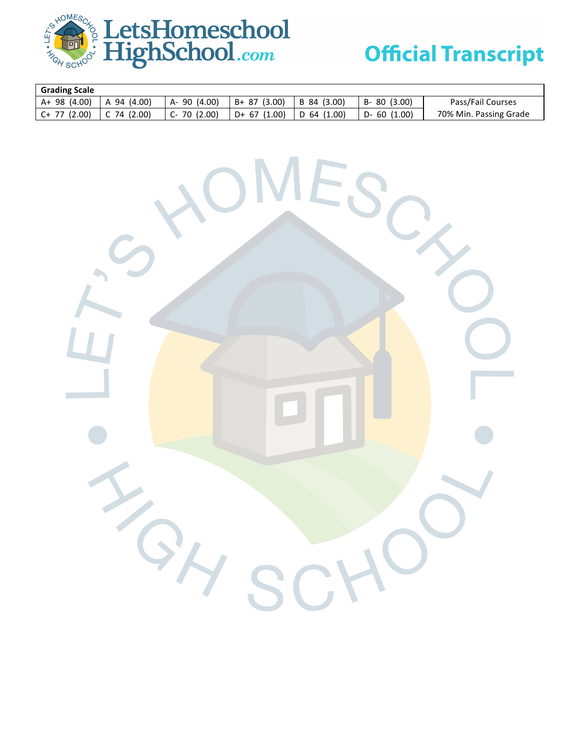

| <b>Grading Scale</b> |               |              |                |               |                 |                        |
|----------------------|---------------|--------------|----------------|---------------|-----------------|------------------------|
| $A+98(4.00)$         | A 94 (4.00)   | A-90 (4.00)  | B+ 87 (3.00)   | B 84 (3.00)   | $B - 80(3.00)$  | Pass/Fail Courses      |
| $C+ 77$ (2.00)       | $C$ 74 (2.00) | $C-70(2.00)$ | $D+ 67 (1.00)$ | $D$ 64 (1.00) | $D - 60$ (1.00) | 70% Min. Passing Grade |

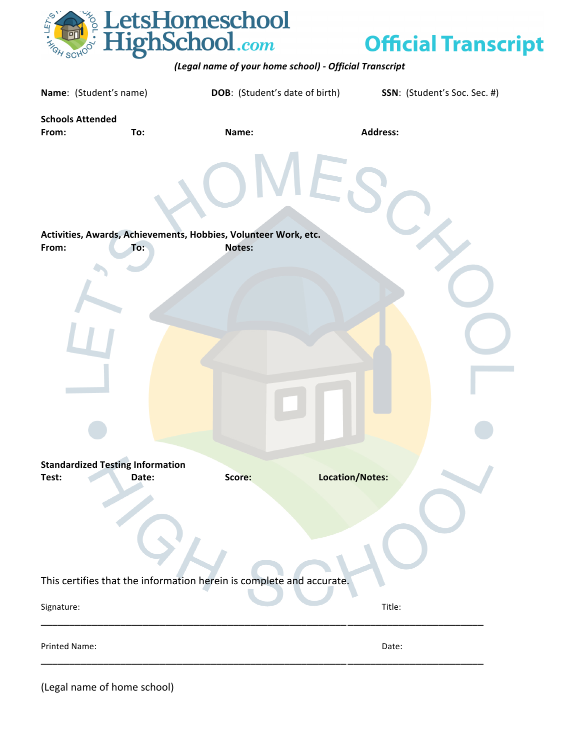

*(Legal name of your home school) - Official Transcript*

| Name: (Student's name)                  |       | <b>DOB:</b> (Student's date of birth)                                | SSN: (Student's Soc. Sec. #) |
|-----------------------------------------|-------|----------------------------------------------------------------------|------------------------------|
| <b>Schools Attended</b><br>From:        | To:   | Name:                                                                | <b>Address:</b>              |
|                                         |       |                                                                      |                              |
|                                         |       | Activities, Awards, Achievements, Hobbies, Volunteer Work, etc.      |                              |
| From:                                   | To:   | Notes:                                                               |                              |
|                                         |       |                                                                      |                              |
|                                         |       |                                                                      |                              |
|                                         |       |                                                                      |                              |
|                                         |       |                                                                      |                              |
| <b>Standardized Testing Information</b> |       |                                                                      |                              |
| Test:                                   | Date: | Score:                                                               | Location/Notes:              |
|                                         |       |                                                                      |                              |
|                                         |       |                                                                      |                              |
|                                         |       | This certifies that the information herein is complete and accurate. |                              |
| Signature:                              |       |                                                                      | Title:                       |
| Printed Name:                           |       |                                                                      | Date:                        |
|                                         |       |                                                                      |                              |

(Legal name of home school)